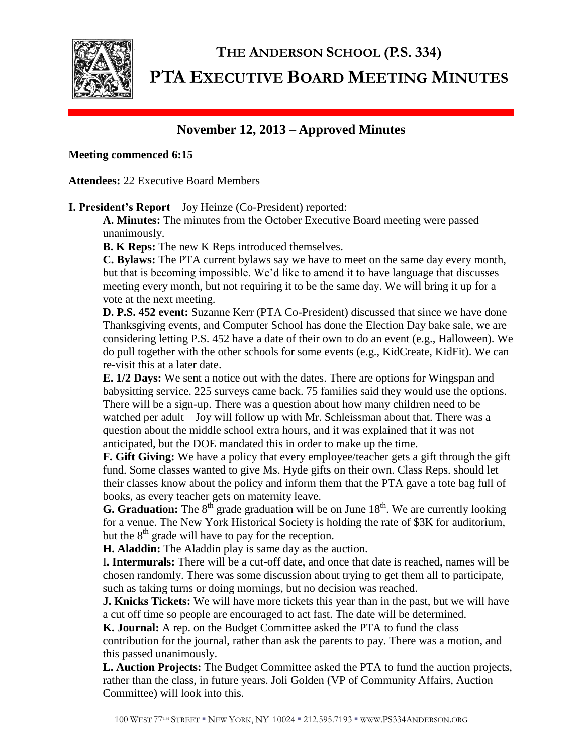

# **THE ANDERSON SCHOOL (P.S. 334) PTA EXECUTIVE BOARD MEETING MINUTES**

## **November 12, 2013 – Approved Minutes**

### **Meeting commenced 6:15**

**Attendees:** 22 Executive Board Members

**I. President's Report** – Joy Heinze (Co-President) reported:

**A. Minutes:** The minutes from the October Executive Board meeting were passed unanimously.

**B. K Reps:** The new K Reps introduced themselves.

**C. Bylaws:** The PTA current bylaws say we have to meet on the same day every month, but that is becoming impossible. We'd like to amend it to have language that discusses meeting every month, but not requiring it to be the same day. We will bring it up for a vote at the next meeting.

**D. P.S. 452 event:** Suzanne Kerr (PTA Co-President) discussed that since we have done Thanksgiving events, and Computer School has done the Election Day bake sale, we are considering letting P.S. 452 have a date of their own to do an event (e.g., Halloween). We do pull together with the other schools for some events (e.g., KidCreate, KidFit). We can re-visit this at a later date.

**E. 1/2 Days:** We sent a notice out with the dates. There are options for Wingspan and babysitting service. 225 surveys came back. 75 families said they would use the options. There will be a sign-up. There was a question about how many children need to be watched per adult – Joy will follow up with Mr. Schleissman about that. There was a question about the middle school extra hours, and it was explained that it was not anticipated, but the DOE mandated this in order to make up the time.

**F. Gift Giving:** We have a policy that every employee/teacher gets a gift through the gift fund. Some classes wanted to give Ms. Hyde gifts on their own. Class Reps. should let their classes know about the policy and inform them that the PTA gave a tote bag full of books, as every teacher gets on maternity leave.

**G. Graduation:** The  $8<sup>th</sup>$  grade graduation will be on June  $18<sup>th</sup>$ . We are currently looking for a venue. The New York Historical Society is holding the rate of \$3K for auditorium, but the  $8<sup>th</sup>$  grade will have to pay for the reception.

**H. Aladdin:** The Aladdin play is same day as the auction.

I**. Intermurals:** There will be a cut-off date, and once that date is reached, names will be chosen randomly. There was some discussion about trying to get them all to participate, such as taking turns or doing mornings, but no decision was reached.

**J. Knicks Tickets:** We will have more tickets this year than in the past, but we will have a cut off time so people are encouraged to act fast. The date will be determined.

**K. Journal:** A rep. on the Budget Committee asked the PTA to fund the class

contribution for the journal, rather than ask the parents to pay. There was a motion, and this passed unanimously.

**L. Auction Projects:** The Budget Committee asked the PTA to fund the auction projects, rather than the class, in future years. Joli Golden (VP of Community Affairs, Auction Committee) will look into this.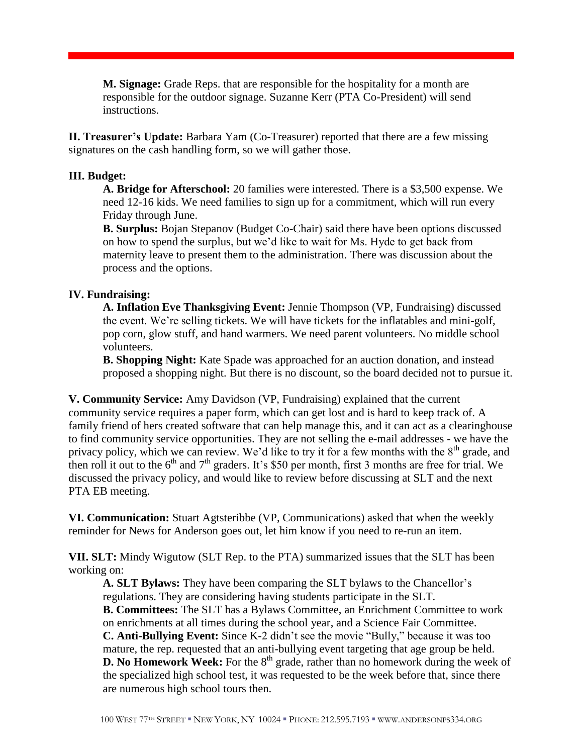**M. Signage:** Grade Reps. that are responsible for the hospitality for a month are responsible for the outdoor signage. Suzanne Kerr (PTA Co-President) will send instructions.

**II. Treasurer's Update:** Barbara Yam (Co-Treasurer) reported that there are a few missing signatures on the cash handling form, so we will gather those.

#### **III. Budget:**

**A. Bridge for Afterschool:** 20 families were interested. There is a \$3,500 expense. We need 12-16 kids. We need families to sign up for a commitment, which will run every Friday through June.

**B. Surplus:** Bojan Stepanov (Budget Co-Chair) said there have been options discussed on how to spend the surplus, but we'd like to wait for Ms. Hyde to get back from maternity leave to present them to the administration. There was discussion about the process and the options.

#### **IV. Fundraising:**

**A. Inflation Eve Thanksgiving Event:** Jennie Thompson (VP, Fundraising) discussed the event. We're selling tickets. We will have tickets for the inflatables and mini-golf, pop corn, glow stuff, and hand warmers. We need parent volunteers. No middle school volunteers.

**B. Shopping Night:** Kate Spade was approached for an auction donation, and instead proposed a shopping night. But there is no discount, so the board decided not to pursue it.

**V. Community Service:** Amy Davidson (VP, Fundraising) explained that the current community service requires a paper form, which can get lost and is hard to keep track of. A family friend of hers created software that can help manage this, and it can act as a clearinghouse to find community service opportunities. They are not selling the e-mail addresses - we have the privacy policy, which we can review. We'd like to try it for a few months with the  $8<sup>th</sup>$  grade, and then roll it out to the  $6<sup>th</sup>$  and  $7<sup>th</sup>$  graders. It's \$50 per month, first 3 months are free for trial. We discussed the privacy policy, and would like to review before discussing at SLT and the next PTA EB meeting.

**VI. Communication:** Stuart Agtsteribbe (VP, Communications) asked that when the weekly reminder for News for Anderson goes out, let him know if you need to re-run an item.

**VII. SLT:** Mindy Wigutow (SLT Rep. to the PTA) summarized issues that the SLT has been working on:

**A. SLT Bylaws:** They have been comparing the SLT bylaws to the Chancellor's regulations. They are considering having students participate in the SLT. **B. Committees:** The SLT has a Bylaws Committee, an Enrichment Committee to work on enrichments at all times during the school year, and a Science Fair Committee. **C. Anti-Bullying Event:** Since K-2 didn't see the movie "Bully," because it was too mature, the rep. requested that an anti-bullying event targeting that age group be held. **D.** No Homework Week: For the 8<sup>th</sup> grade, rather than no homework during the week of the specialized high school test, it was requested to be the week before that, since there are numerous high school tours then.